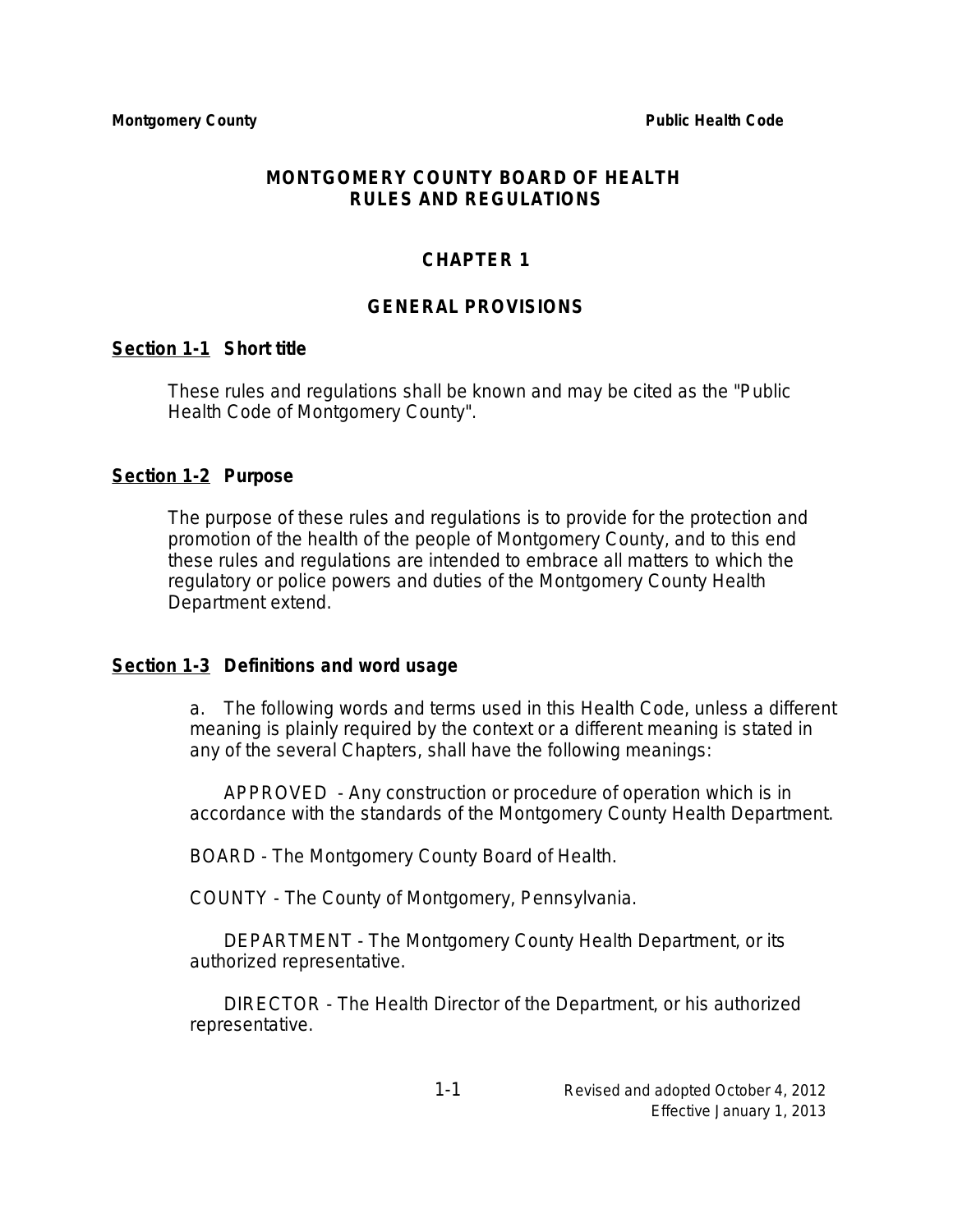#### **MONTGOMERY COUNTY BOARD OF HEALTH RULES AND REGULATIONS**

# **CHAPTER 1**

## **GENERAL PROVISIONS**

#### **Section 1-1 Short title**

These rules and regulations shall be known and may be cited as the "Public Health Code of Montgomery County".

#### **Section 1-2 Purpose**

The purpose of these rules and regulations is to provide for the protection and promotion of the health of the people of Montgomery County, and to this end these rules and regulations are intended to embrace all matters to which the regulatory or police powers and duties of the Montgomery County Health Department extend.

#### **Section 1-3 Definitions and word usage**

a. The following words and terms used in this Health Code, unless a different meaning is plainly required by the context or a different meaning is stated in any of the several Chapters, shall have the following meanings:

APPROVED - Any construction or procedure of operation which is in accordance with the standards of the Montgomery County Health Department.

BOARD - The Montgomery County Board of Health.

COUNTY - The County of Montgomery, Pennsylvania.

DEPARTMENT - The Montgomery County Health Department, or its authorized representative.

DIRECTOR - The Health Director of the Department, or his authorized representative.